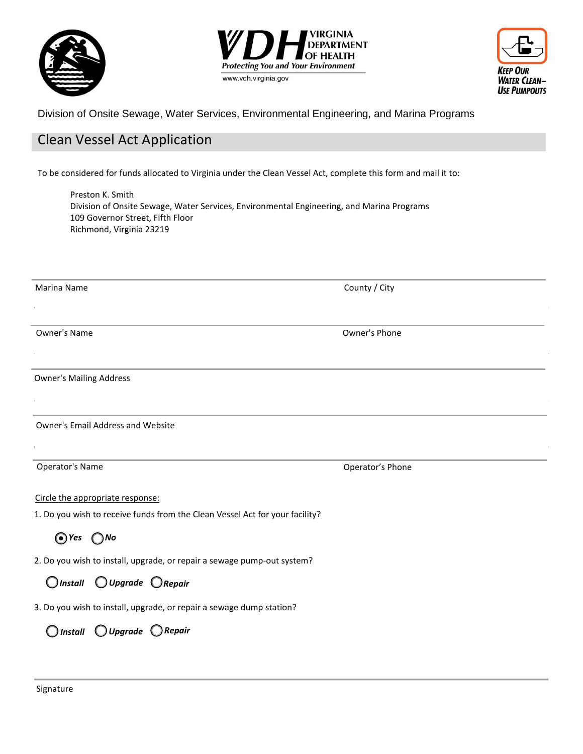





Division of Onsite Sewage, Water Services, Environmental Engineering, and Marina Programs

# Clean Vessel Act Application

To be considered for funds allocated to Virginia under the Clean Vessel Act, complete this form and mail it to:

Preston K. Smith Division of Onsite Sewage, Water Services, Environmental Engineering, and Marina Programs 109 Governor Street, Fifth Floor Richmond, Virginia 23219

| Marina Name                                                                  | County / City    |
|------------------------------------------------------------------------------|------------------|
|                                                                              |                  |
| <b>Owner's Name</b>                                                          | Owner's Phone    |
|                                                                              |                  |
| <b>Owner's Mailing Address</b>                                               |                  |
|                                                                              |                  |
| <b>Owner's Email Address and Website</b>                                     |                  |
|                                                                              |                  |
| <b>Operator's Name</b>                                                       | Operator's Phone |
| Circle the appropriate response:                                             |                  |
| 1. Do you wish to receive funds from the Clean Vessel Act for your facility? |                  |
| $Q$ Yes $Q$ No                                                               |                  |
| 2. Do you wish to install, upgrade, or repair a sewage pump-out system?      |                  |
| $\bigcirc$ Install $\bigcirc$ Upgrade $\bigcirc$ Repair                      |                  |
| 3. Do you wish to install, upgrade, or repair a sewage dump station?         |                  |
| $\bigcap$ Install $\bigcirc$ Upgrade $\bigcirc$ Repair                       |                  |